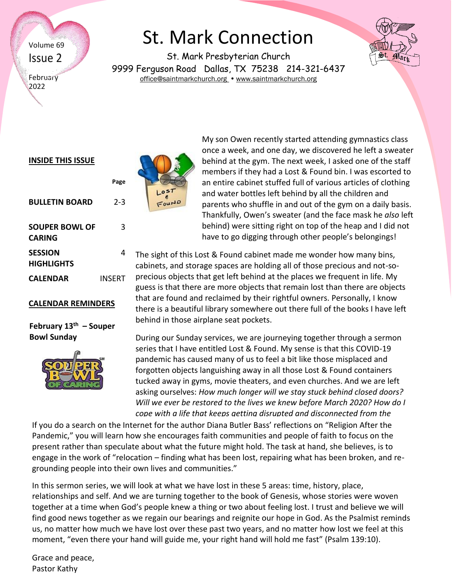Volume 69 Issue 2

**February** 2022

# St. Mark Connection

St. Mark Presbyterian Church 9999 Ferguson Road Dallas, TX 75238 214-321-6437 [office@saintmarkchurch.org](mailto:office@saintmarkchurch.org) • [www.saintmarkchurch.org](http://www.saintmarkchurch.org/)



Mari

#### **INSIDE THIS ISSUE**

|                          | Page    |
|--------------------------|---------|
| <b>BULLETIN BOARD</b>    | $2 - 3$ |
| SOUPER BOWL OF<br>CARING | 3       |
| SESSION<br>HIGHLIGHTS    | 4       |
| CALFNDAR                 | INSERT  |

#### **CALENDAR REMINDERS**

#### **February 13th – Souper Bowl Sunday**





My son Owen recently started attending gymnastics class once a week, and one day, we discovered he left a sweater behind at the gym. The next week, I asked one of the staff members if they had a Lost & Found bin. I was escorted to an entire cabinet stuffed full of various articles of clothing and water bottles left behind by all the children and parents who shuffle in and out of the gym on a daily basis. Thankfully, Owen's sweater (and the face mask he *also* left behind) were sitting right on top of the heap and I did not have to go digging through other people's belongings!

The sight of this Lost & Found cabinet made me wonder how many bins, cabinets, and storage spaces are holding all of those precious and not-soprecious objects that get left behind at the places we frequent in life. My guess is that there are more objects that remain lost than there are objects that are found and reclaimed by their rightful owners. Personally, I know there is a beautiful library somewhere out there full of the books I have left behind in those airplane seat pockets.

During our Sunday services, we are journeying together through a sermon series that I have entitled Lost & Found. My sense is that this COVID-19 pandemic has caused many of us to feel a bit like those misplaced and forgotten objects languishing away in all those Lost & Found containers tucked away in gyms, movie theaters, and even churches. And we are left asking ourselves: *How much longer will we stay stuck behind closed doors? Will we ever be restored to the lives we knew before March 2020? How do I cope with a life that keeps getting disrupted and disconnected from the* 

If you do a search on the Internet for the author Diana Butler Bass' reflections on "Religion After the Pandemic," you will learn how she encourages faith communities and people of faith to focus on the present rather than speculate about what the future might hold. The task at hand, she believes, is to engage in the work of "relocation – finding what has been lost, repairing what has been broken, and regrounding people into their own lives and communities."

In this sermon series, we will look at what we have lost in these 5 areas: time, history, place, relationships and self. And we are turning together to the book of Genesis, whose stories were woven together at a time when God's people knew a thing or two about feeling lost. I trust and believe we will find good news together as we regain our bearings and reignite our hope in God. As the Psalmist reminds us, no matter how much we have lost over these past two years, and no matter how lost we feel at this moment, "even there your hand will guide me, your right hand will hold me fast" (Psalm 139:10).

Grace and peace, Pastor Kathy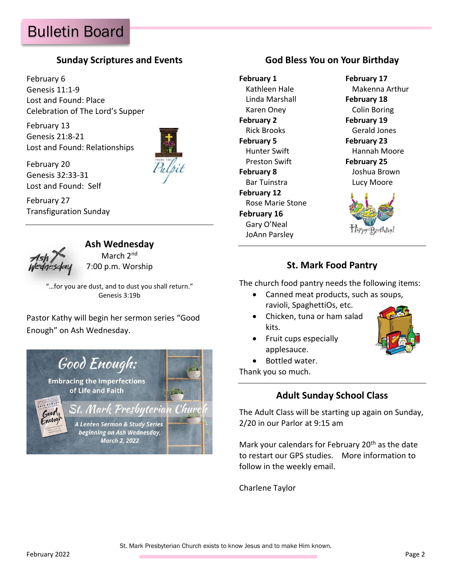### **Sunday Scriptures and Events**

February 6 Genesis 11:1-9 Lost and Found: Place Celebration of The Lord's Supper

February 13 Genesis 21:8-21 Lost and Found: Relationships



February 20 Genesis 32:33-31 Lost and Found: Self

February 27 Transfiguration Sunday



## **Ash Wednesday**

March 2<sup>nd</sup> 7:00 p.m. Worship

"…for you are dust, and to dust you shall return." Genesis 3:19b

Pastor Kathy will begin her sermon series "Good Enough" on Ash Wednesday.



## **God Bless You on Your Birthday**

**February 1 February 17** Linda Marshall **February 18** Karen Oney Colin Boring **February 2 February 19** Rick Brooks Gerald Jones **February 5 February 23** Preston Swift **February 25 February 8** Joshua Brown Bar Tuinstra **Lucy Moore February 12** Rose Marie Stone **February 16** Gary O'Neal JoAnn Parsley

Kathleen Hale Makenna Arthur Hunter Swift **Hannah Moore** 



### **St. Mark Food Pantry**

The church food pantry needs the following items:

- Canned meat products, such as soups, ravioli, SpaghettiOs, etc.
- Chicken, tuna or ham salad kits.
- Fruit cups especially applesauce.
- Bottled water.

Thank you so much.

## **Adult Sunday School Class**

The Adult Class will be starting up again on Sunday, 2/20 in our Parlor at 9:15 am

Mark your calendars for February 20<sup>th</sup> as the date to restart our GPS studies. More information to follow in the weekly email.

Charlene Taylor

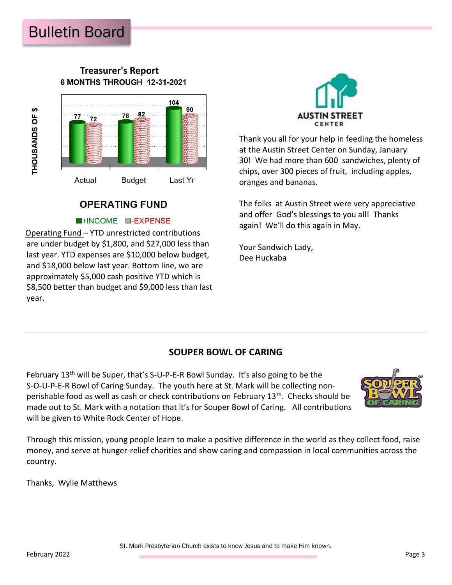#### **Treasurer's Report** 6 MONTHS THROUGH 12-31-2021



# **OPERATING FUND**

#### **NHINCOME M-EXPENSE**

Operating Fund – YTD unrestricted contributions are under budget by \$1,800, and \$27,000 less than last year. YTD expenses are \$10,000 below budget, and \$18,000 below last year. Bottom line, we are approximately \$5,000 cash positive YTD which is \$8,500 better than budget and \$9,000 less than last year.



Thank you all for your help in feeding the homeless at the Austin Street Center on Sunday, January 30! We had more than 600 sandwiches, plenty of chips, over 300 pieces of fruit, including apples, oranges and bananas.

The folks at Austin Street were very appreciative and offer God's blessings to you all! Thanks again! We'll do this again in May.

Your Sandwich Lady, Dee Huckaba

# **SOUPER BOWL OF CARING**

February  $13<sup>th</sup>$  will be Super, that's S-U-P-E-R Bowl Sunday. It's also going to be the S-O-U-P-E-R Bowl of Caring Sunday. The youth here at St. Mark will be collecting nonperishable food as well as cash or check contributions on February 13<sup>th</sup>. Checks should be made out to St. Mark with a notation that it's for Souper Bowl of Caring. All contributions will be given to White Rock Center of Hope.



Through this mission, young people learn to make a positive difference in the world as they collect food, raise money, and serve at hunger-relief charities and show caring and compassion in local communities across the country.

Thanks, Wylie Matthews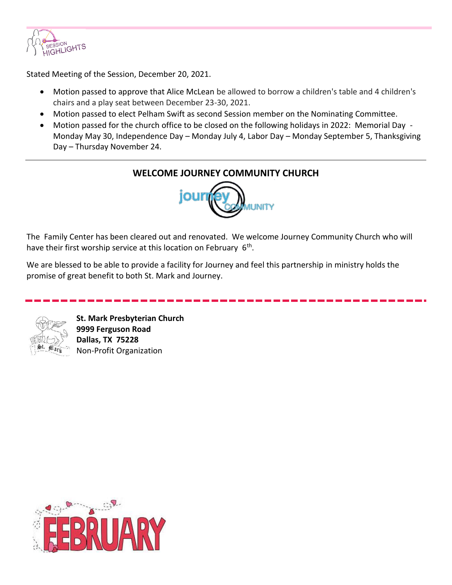

Stated Meeting of the Session, December 20, 2021.

- Motion passed to approve that Alice McLean be allowed to borrow a children's table and 4 children's chairs and a play seat between December 23-30, 2021.
- Motion passed to elect Pelham Swift as second Session member on the Nominating Committee.
- Motion passed for the church office to be closed on the following holidays in 2022: Memorial Day Monday May 30, Independence Day – Monday July 4, Labor Day – Monday September 5, Thanksgiving Day – Thursday November 24.



The Family Center has been cleared out and renovated. We welcome Journey Community Church who will have their first worship service at this location on February 6<sup>th</sup>.

We are blessed to be able to provide a facility for Journey and feel this partnership in ministry holds the promise of great benefit to both St. Mark and Journey.



**St. Mark Presbyterian Church 9999 Ferguson Road Dallas, TX 75228**  Non-Profit Organization